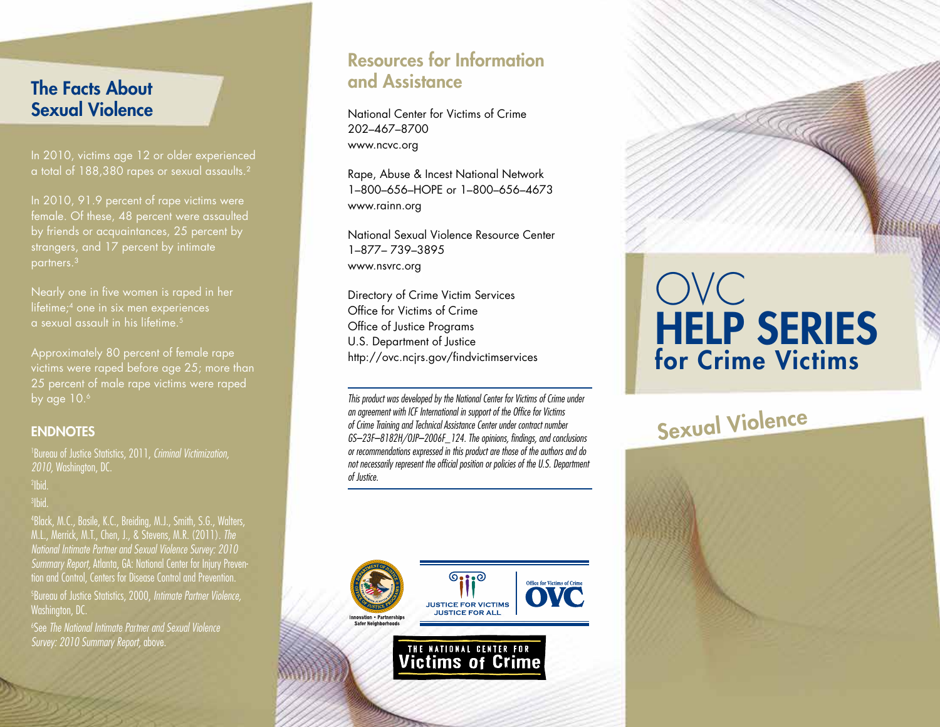## The Facts About Sexual Violence

In 2010, victims age 12 or older experienced a total of 188,380 rapes or sexual assaults.<sup>2</sup>

In 2010, 91.9 percent of rape victims were female. Of these, 48 percent were assaulted strangers, and 17 percent by intimate partners.³

Nearly one in five women is raped in her lifetime;4 one in six men experiences a sexual assault in his lifetime.5

Approximately 80 percent of female rape victims were raped before age 25; more than 25 percent of male rape victims were raped by age 10.<sup>6</sup>

### **ENDNOTES**

1 Bureau of Justice Statistics, 2011, *Criminal Victimization, 2010,* Washington, DC. 2 Ibid. 3 Ibid.

4 Black, M.C., Basile, K.C., Breiding, M.J., Smith, S.G., Walters, M.L., Merrick, M.T., Chen, J., & Stevens, M.R. (2011). *The National Intimate Partner and Sexual Violence Survey: 2010 Summary Report,* Atlanta, GA: National Center for Injury Prevention and Control, Centers for Disease Control and Prevention.

5 Bureau of Justice Statistics, 2000, *Intimate Partner Violence,* Washington, DC.

6 See *The National Intimate Partner and Sexual Violence Survey: 2010 Summary Report,* above.

## Resources for Information and Assistance

National Center for Victims of Crime 202–467–8700 www.ncvc.org

Rape, Abuse & Incest National Network 1–800–656–HOPE or 1–800–656–4673 www.rainn.org

National Sexual Violence Resource Center 1–877– 739–3895 www.nsvrc.org

Directory of Crime Victim Services Office for Victims of Crime Office of Justice Programs U.S. Department of Justice http://ovc.ncjrs.gov/findvictimservices

*This product was developed by the National Center for Victims of Crime under an agreement with ICF International in support of the Office for Victims of Crime Training and Technical Assistance Center under contract number GS–23F–8182H/OJP–2006F\_124. The opinions, findings, and conclusions or recommendations expressed in this product are those of the authors and do not necessarily represent the official position or policies of the U.S. Department of Justice.*



**Victims of Crime** 

# OVC HELP SERIES for Crime Victims

# Sexual Violence